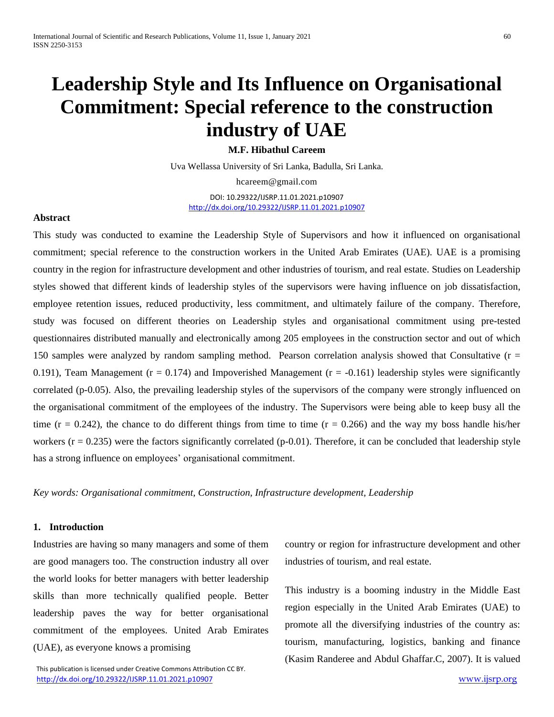# **Leadership Style and Its Influence on Organisational Commitment: Special reference to the construction industry of UAE**

**M.F. Hibathul Careem**

Uva Wellassa University of Sri Lanka, Badulla, Sri Lanka.

hcareem@gmail.com

DOI: 10.29322/IJSRP.11.01.2021.p10907 <http://dx.doi.org/10.29322/IJSRP.11.01.2021.p10907>

### **Abstract**

This study was conducted to examine the Leadership Style of Supervisors and how it influenced on organisational commitment; special reference to the construction workers in the United Arab Emirates (UAE). UAE is a promising country in the region for infrastructure development and other industries of tourism, and real estate. Studies on Leadership styles showed that different kinds of leadership styles of the supervisors were having influence on job dissatisfaction, employee retention issues, reduced productivity, less commitment, and ultimately failure of the company. Therefore, study was focused on different theories on Leadership styles and organisational commitment using pre-tested questionnaires distributed manually and electronically among 205 employees in the construction sector and out of which 150 samples were analyzed by random sampling method. Pearson correlation analysis showed that Consultative (r = 0.191), Team Management ( $r = 0.174$ ) and Impoverished Management ( $r = -0.161$ ) leadership styles were significantly correlated (p-0.05). Also, the prevailing leadership styles of the supervisors of the company were strongly influenced on the organisational commitment of the employees of the industry. The Supervisors were being able to keep busy all the time ( $r = 0.242$ ), the chance to do different things from time to time ( $r = 0.266$ ) and the way my boss handle his/her workers ( $r = 0.235$ ) were the factors significantly correlated (p-0.01). Therefore, it can be concluded that leadership style has a strong influence on employees' organisational commitment.

*Key words: Organisational commitment, Construction, Infrastructure development, Leadership*

# **1. Introduction**

Industries are having so many managers and some of them are good managers too. The construction industry all over the world looks for better managers with better leadership skills than more technically qualified people. Better leadership paves the way for better organisational commitment of the employees. United Arab Emirates (UAE), as everyone knows a promising

 This publication is licensed under Creative Commons Attribution CC BY. <http://dx.doi.org/10.29322/IJSRP.11.01.2021.p10907> [www.ijsrp.org](http://ijsrp.org/)

country or region for infrastructure development and other industries of tourism, and real estate.

This industry is a booming industry in the Middle East region especially in the United Arab Emirates (UAE) to promote all the diversifying industries of the country as: tourism, manufacturing, logistics, banking and finance (Kasim Randeree and Abdul Ghaffar.C, 2007). It is valued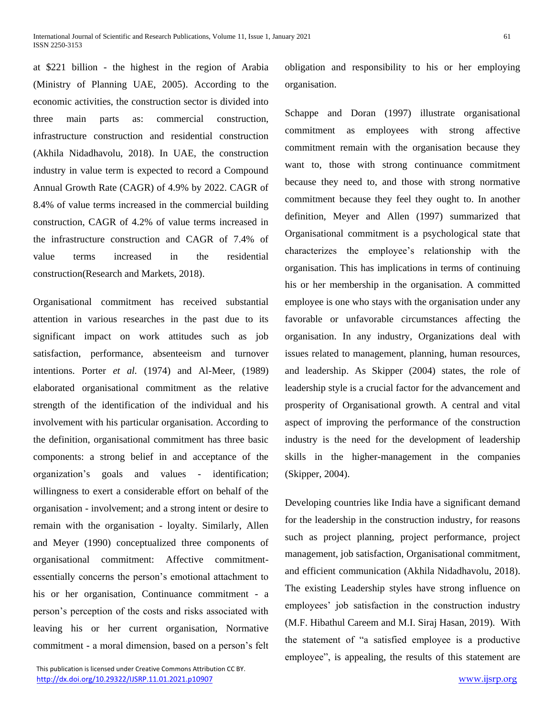at \$221 billion - the highest in the region of Arabia (Ministry of Planning UAE, 2005). According to the economic activities, the construction sector is divided into three main parts as: commercial construction, infrastructure construction and residential construction (Akhila Nidadhavolu, 2018). In UAE, the construction industry in value term is expected to record a Compound Annual Growth Rate (CAGR) of 4.9% by 2022. CAGR of 8.4% of value terms increased in the commercial building construction, CAGR of 4.2% of value terms increased in the infrastructure construction and CAGR of 7.4% of value terms increased in the residential construction(Research and Markets, 2018).

Organisational commitment has received substantial attention in various researches in the past due to its significant impact on work attitudes such as job satisfaction, performance, absenteeism and turnover intentions. Porter *et al.* (1974) and Al-Meer, (1989) elaborated organisational commitment as the relative strength of the identification of the individual and his involvement with his particular organisation. According to the definition, organisational commitment has three basic components: a strong belief in and acceptance of the organization's goals and values - identification; willingness to exert a considerable effort on behalf of the organisation - involvement; and a strong intent or desire to remain with the organisation - loyalty. Similarly, Allen and Meyer (1990) conceptualized three components of organisational commitment: Affective commitmentessentially concerns the person's emotional attachment to his or her organisation, Continuance commitment - a person's perception of the costs and risks associated with leaving his or her current organisation, Normative commitment - a moral dimension, based on a person's felt

 This publication is licensed under Creative Commons Attribution CC BY. <http://dx.doi.org/10.29322/IJSRP.11.01.2021.p10907> [www.ijsrp.org](http://ijsrp.org/)

obligation and responsibility to his or her employing organisation.

Schappe and Doran (1997) illustrate organisational commitment as employees with strong affective commitment remain with the organisation because they want to, those with strong continuance commitment because they need to, and those with strong normative commitment because they feel they ought to. In another definition, Meyer and Allen (1997) summarized that Organisational commitment is a psychological state that characterizes the employee's relationship with the organisation. This has implications in terms of continuing his or her membership in the organisation. A committed employee is one who stays with the organisation under any favorable or unfavorable circumstances affecting the organisation. In any industry, Organizations deal with issues related to management, planning, human resources, and leadership. As Skipper (2004) states, the role of leadership style is a crucial factor for the advancement and prosperity of Organisational growth. A central and vital aspect of improving the performance of the construction industry is the need for the development of leadership skills in the higher-management in the companies (Skipper, 2004).

Developing countries like India have a significant demand for the leadership in the construction industry, for reasons such as project planning, project performance, project management, job satisfaction, Organisational commitment, and efficient communication (Akhila Nidadhavolu, 2018). The existing Leadership styles have strong influence on employees' job satisfaction in the construction industry (M.F. Hibathul Careem and M.I. Siraj Hasan, 2019). With the statement of "a satisfied employee is a productive employee", is appealing, the results of this statement are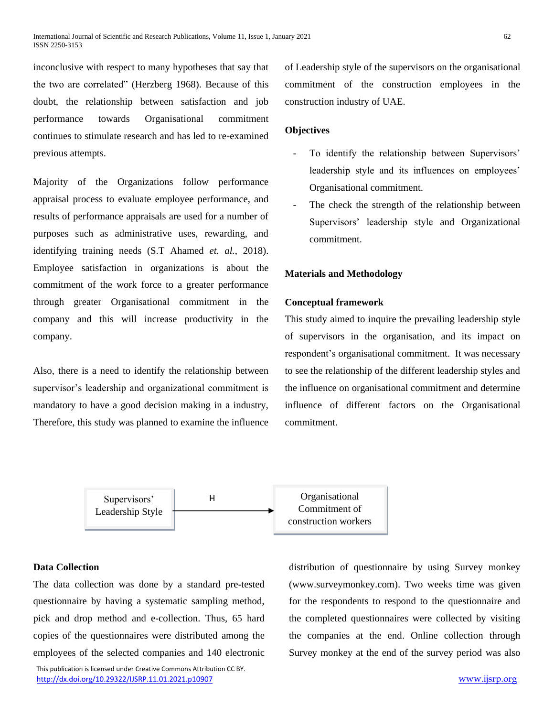inconclusive with respect to many hypotheses that say that the two are correlated" (Herzberg 1968). Because of this doubt, the relationship between satisfaction and job performance towards Organisational commitment continues to stimulate research and has led to re-examined previous attempts.

Majority of the Organizations follow performance appraisal process to evaluate employee performance, and results of performance appraisals are used for a number of purposes such as administrative uses, rewarding, and identifying training needs (S.T Ahamed *et. al.,* 2018). Employee satisfaction in organizations is about the commitment of the work force to a greater performance through greater Organisational commitment in the company and this will increase productivity in the company.

Also, there is a need to identify the relationship between supervisor's leadership and organizational commitment is mandatory to have a good decision making in a industry, Therefore, this study was planned to examine the influence of Leadership style of the supervisors on the organisational commitment of the construction employees in the construction industry of UAE.

## **Objectives**

- To identify the relationship between Supervisors' leadership style and its influences on employees' Organisational commitment.
- The check the strength of the relationship between Supervisors' leadership style and Organizational commitment.

## **Materials and Methodology**

## **Conceptual framework**

This study aimed to inquire the prevailing leadership style of supervisors in the organisation, and its impact on respondent's organisational commitment. It was necessary to see the relationship of the different leadership styles and the influence on organisational commitment and determine influence of different factors on the Organisational commitment.



# **Data Collection**

The data collection was done by a standard pre-tested questionnaire by having a systematic sampling method, pick and drop method and e-collection. Thus, 65 hard copies of the questionnaires were distributed among the employees of the selected companies and 140 electronic

 This publication is licensed under Creative Commons Attribution CC BY. <http://dx.doi.org/10.29322/IJSRP.11.01.2021.p10907> [www.ijsrp.org](http://ijsrp.org/)

distribution of questionnaire by using Survey monkey (www.surveymonkey.com). Two weeks time was given for the respondents to respond to the questionnaire and the completed questionnaires were collected by visiting the companies at the end. Online collection through Survey monkey at the end of the survey period was also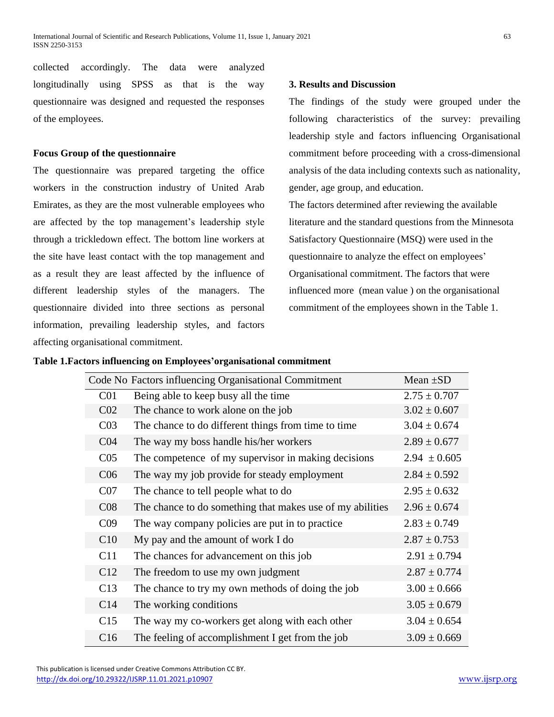collected accordingly. The data were analyzed longitudinally using SPSS as that is the way questionnaire was designed and requested the responses of the employees.

# **Focus Group of the questionnaire**

The questionnaire was prepared targeting the office workers in the construction industry of United Arab Emirates, as they are the most vulnerable employees who are affected by the top management's leadership style through a trickledown effect. The bottom line workers at the site have least contact with the top management and as a result they are least affected by the influence of different leadership styles of the managers. The questionnaire divided into three sections as personal information, prevailing leadership styles, and factors affecting organisational commitment.

# **3. Results and Discussion**

The findings of the study were grouped under the following characteristics of the survey: prevailing leadership style and factors influencing Organisational commitment before proceeding with a cross-dimensional analysis of the data including contexts such as nationality, gender, age group, and education.

The factors determined after reviewing the available literature and the standard questions from the Minnesota Satisfactory Questionnaire (MSQ) were used in the questionnaire to analyze the effect on employees' Organisational commitment. The factors that were influenced more (mean value ) on the organisational commitment of the employees shown in the Table 1.

# **Table 1.Factors influencing on Employees'organisational commitment**

| Code No Factors influencing Organisational Commitment | Mean $\pm SD$                                             |                  |
|-------------------------------------------------------|-----------------------------------------------------------|------------------|
| C <sub>01</sub>                                       | Being able to keep busy all the time                      | $2.75 \pm 0.707$ |
| CO <sub>2</sub>                                       | The chance to work alone on the job                       | $3.02 \pm 0.607$ |
| CO <sub>3</sub>                                       | The chance to do different things from time to time       | $3.04 \pm 0.674$ |
| CO <sub>4</sub>                                       | The way my boss handle his/her workers                    | $2.89 \pm 0.677$ |
| C <sub>05</sub>                                       | The competence of my supervisor in making decisions       | $2.94 \pm 0.605$ |
| C <sub>06</sub>                                       | The way my job provide for steady employment              | $2.84 \pm 0.592$ |
| CO7                                                   | The chance to tell people what to do                      | $2.95 \pm 0.632$ |
| CO8                                                   | The chance to do something that makes use of my abilities | $2.96 \pm 0.674$ |
| C <sub>09</sub>                                       | The way company policies are put in to practice           | $2.83 \pm 0.749$ |
| C10                                                   | My pay and the amount of work I do                        | $2.87 \pm 0.753$ |
| C11                                                   | The chances for advancement on this job                   | $2.91 \pm 0.794$ |
| C12                                                   | The freedom to use my own judgment                        | $2.87 \pm 0.774$ |
| C13                                                   | The chance to try my own methods of doing the job         | $3.00 \pm 0.666$ |
| C14                                                   | The working conditions                                    | $3.05 \pm 0.679$ |
| C15                                                   | The way my co-workers get along with each other           | $3.04 \pm 0.654$ |
| C16                                                   | The feeling of accomplishment I get from the job          | $3.09 \pm 0.669$ |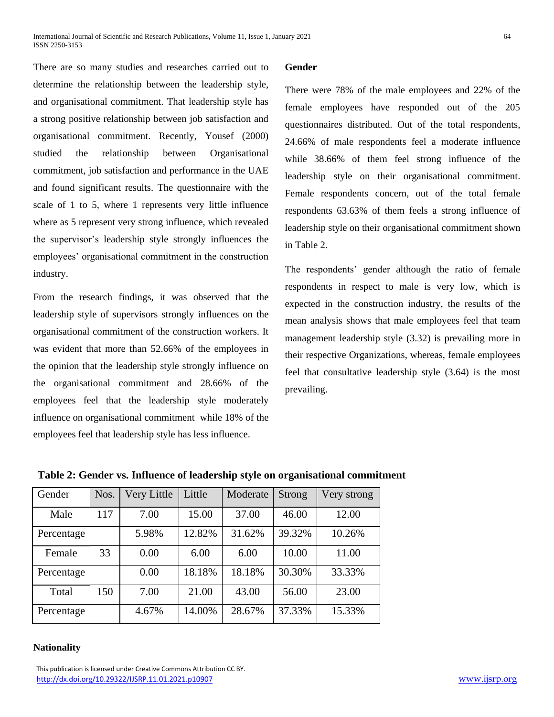There are so many studies and researches carried out to determine the relationship between the leadership style, and organisational commitment. That leadership style has a strong positive relationship between job satisfaction and organisational commitment. Recently, Yousef (2000) studied the relationship between Organisational commitment, job satisfaction and performance in the UAE and found significant results. The questionnaire with the scale of 1 to 5, where 1 represents very little influence where as 5 represent very strong influence, which revealed the supervisor's leadership style strongly influences the employees' organisational commitment in the construction industry.

From the research findings, it was observed that the leadership style of supervisors strongly influences on the organisational commitment of the construction workers. It was evident that more than 52.66% of the employees in the opinion that the leadership style strongly influence on the organisational commitment and 28.66% of the employees feel that the leadership style moderately influence on organisational commitment while 18% of the employees feel that leadership style has less influence.

# **Gender**

There were 78% of the male employees and 22% of the female employees have responded out of the 205 questionnaires distributed. Out of the total respondents, 24.66% of male respondents feel a moderate influence while 38.66% of them feel strong influence of the leadership style on their organisational commitment. Female respondents concern, out of the total female respondents 63.63% of them feels a strong influence of leadership style on their organisational commitment shown in Table 2.

The respondents' gender although the ratio of female respondents in respect to male is very low, which is expected in the construction industry, the results of the mean analysis shows that male employees feel that team management leadership style (3.32) is prevailing more in their respective Organizations, whereas, female employees feel that consultative leadership style (3.64) is the most prevailing.

| Gender     | Nos. | Very Little | Little | Moderate | Strong | Very strong |
|------------|------|-------------|--------|----------|--------|-------------|
| Male       | 117  | 7.00        | 15.00  | 37.00    | 46.00  | 12.00       |
| Percentage |      | 5.98%       | 12.82% | 31.62%   | 39.32% | 10.26%      |
| Female     | 33   | 0.00        | 6.00   | 6.00     | 10.00  | 11.00       |
| Percentage |      | 0.00        | 18.18% | 18.18%   | 30.30% | 33.33%      |
| Total      | 150  | 7.00        | 21.00  | 43.00    | 56.00  | 23.00       |
| Percentage |      | 4.67%       | 14.00% | 28.67%   | 37.33% | 15.33%      |

**Table 2: Gender vs. Influence of leadership style on organisational commitment**

## **Nationality**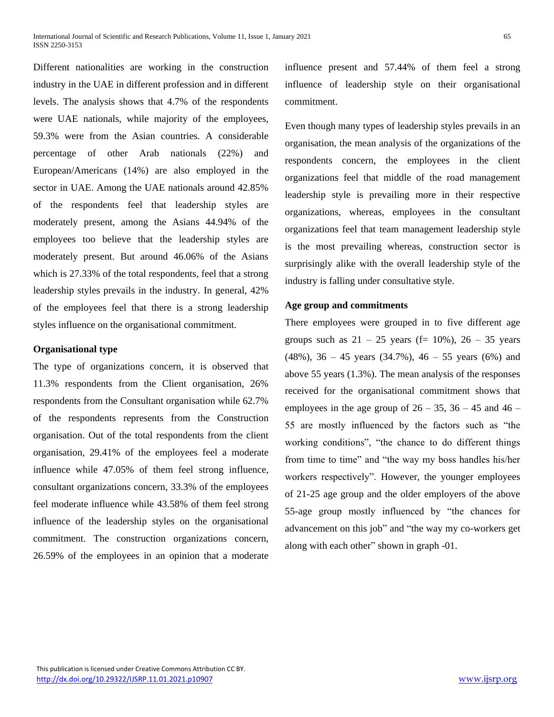Different nationalities are working in the construction industry in the UAE in different profession and in different levels. The analysis shows that 4.7% of the respondents were UAE nationals, while majority of the employees, 59.3% were from the Asian countries. A considerable percentage of other Arab nationals (22%) and European/Americans (14%) are also employed in the sector in UAE. Among the UAE nationals around 42.85% of the respondents feel that leadership styles are moderately present, among the Asians 44.94% of the employees too believe that the leadership styles are moderately present. But around 46.06% of the Asians which is 27.33% of the total respondents, feel that a strong leadership styles prevails in the industry. In general, 42% of the employees feel that there is a strong leadership styles influence on the organisational commitment.

# **Organisational type**

The type of organizations concern, it is observed that 11.3% respondents from the Client organisation, 26% respondents from the Consultant organisation while 62.7% of the respondents represents from the Construction organisation. Out of the total respondents from the client organisation, 29.41% of the employees feel a moderate influence while 47.05% of them feel strong influence, consultant organizations concern, 33.3% of the employees feel moderate influence while 43.58% of them feel strong influence of the leadership styles on the organisational commitment. The construction organizations concern, 26.59% of the employees in an opinion that a moderate influence present and 57.44% of them feel a strong influence of leadership style on their organisational commitment.

Even though many types of leadership styles prevails in an organisation, the mean analysis of the organizations of the respondents concern, the employees in the client organizations feel that middle of the road management leadership style is prevailing more in their respective organizations, whereas, employees in the consultant organizations feel that team management leadership style is the most prevailing whereas, construction sector is surprisingly alike with the overall leadership style of the industry is falling under consultative style.

## **Age group and commitments**

There employees were grouped in to five different age groups such as  $21 - 25$  years (f= 10%),  $26 - 35$  years  $(48\%)$ ,  $36 - 45$  years  $(34.7\%)$ ,  $46 - 55$  years  $(6\%)$  and above 55 years (1.3%). The mean analysis of the responses received for the organisational commitment shows that employees in the age group of  $26 - 35$ ,  $36 - 45$  and  $46 -$ 55 are mostly influenced by the factors such as "the working conditions", "the chance to do different things from time to time" and "the way my boss handles his/her workers respectively". However, the younger employees of 21-25 age group and the older employers of the above 55-age group mostly influenced by "the chances for advancement on this job" and "the way my co-workers get along with each other" shown in graph -01.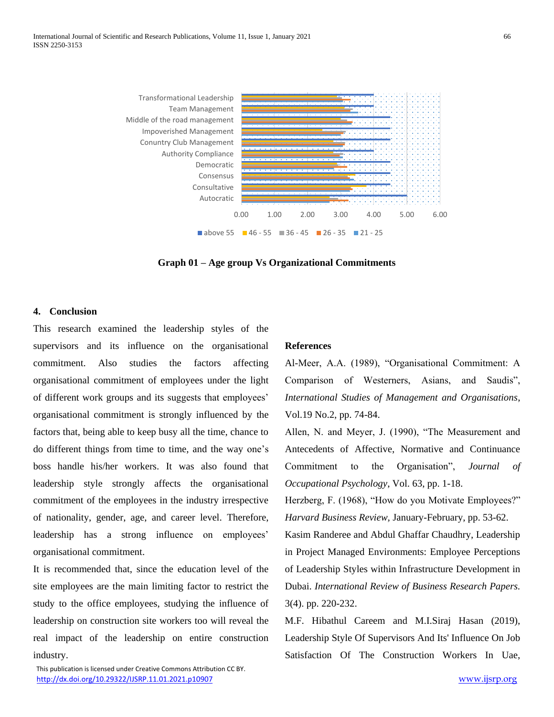

**Graph 01 – Age group Vs Organizational Commitments**

## **4. Conclusion**

This research examined the leadership styles of the supervisors and its influence on the organisational commitment. Also studies the factors affecting organisational commitment of employees under the light of different work groups and its suggests that employees' organisational commitment is strongly influenced by the factors that, being able to keep busy all the time, chance to do different things from time to time, and the way one's boss handle his/her workers. It was also found that leadership style strongly affects the organisational commitment of the employees in the industry irrespective of nationality, gender, age, and career level. Therefore, leadership has a strong influence on employees' organisational commitment.

It is recommended that, since the education level of the site employees are the main limiting factor to restrict the study to the office employees, studying the influence of leadership on construction site workers too will reveal the real impact of the leadership on entire construction industry.

#### **References**

Al-Meer, A.A. (1989), "Organisational Commitment: A Comparison of Westerners, Asians, and Saudis", *International Studies of Management and Organisations*, Vol.19 No.2, pp. 74-84.

Allen, N. and Meyer, J. (1990), "The Measurement and Antecedents of Affective, Normative and Continuance Commitment to the Organisation", *Journal of Occupational Psychology*, Vol. 63, pp. 1-18.

Herzberg, F. (1968), "How do you Motivate Employees?" *Harvard Business Review,* January-February, pp. 53-62.

Kasim Randeree and Abdul Ghaffar Chaudhry, Leadership in Project Managed Environments: Employee Perceptions of Leadership Styles within Infrastructure Development in Dubai. *International Review of Business Research Papers.*  3(4). pp. 220-232.

M.F. Hibathul Careem and M.I.Siraj Hasan (2019), Leadership Style Of Supervisors And Its' Influence On Job Satisfaction Of The Construction Workers In Uae,